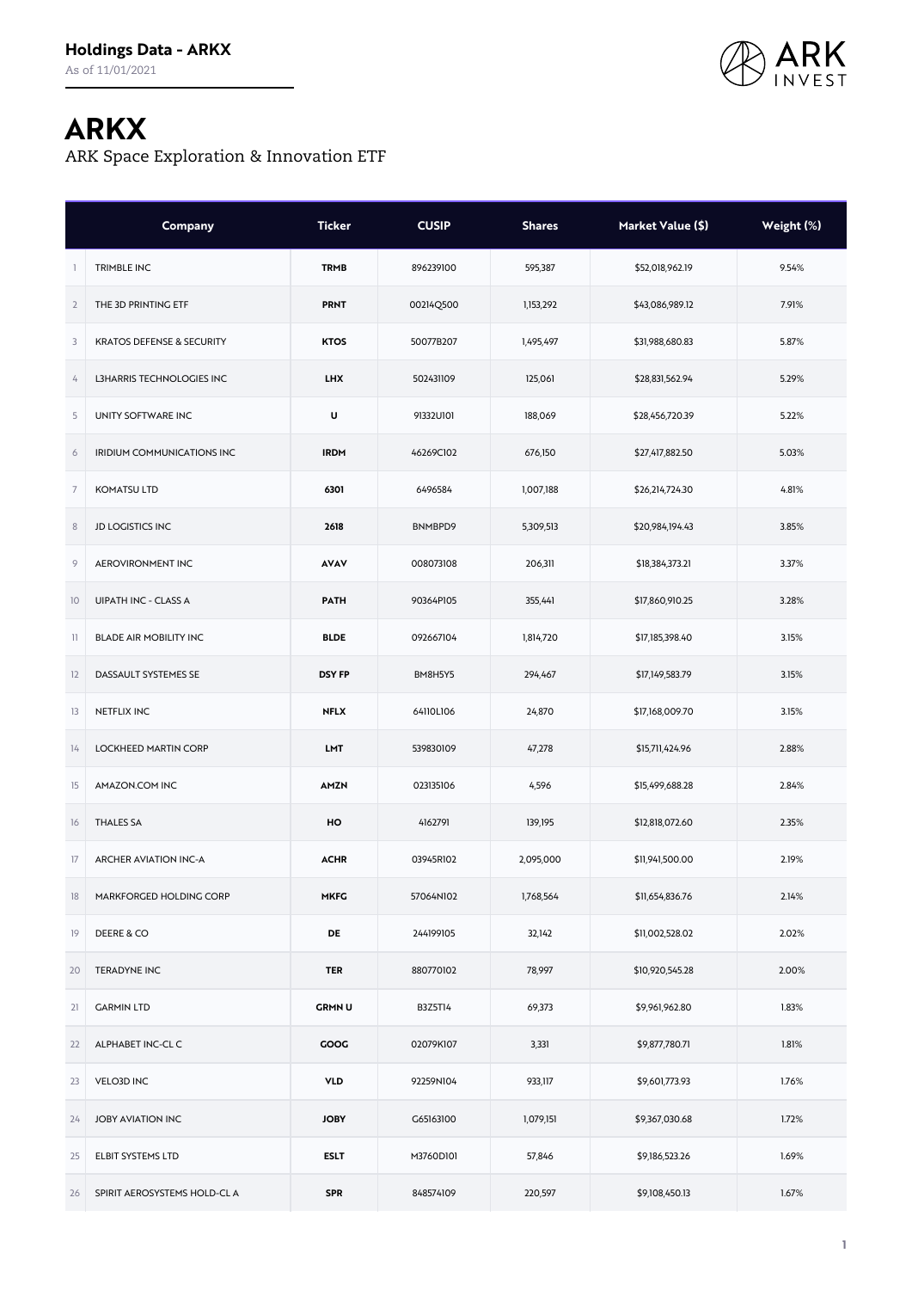

## **ARKX**

ARK Space Exploration & Innovation ETF

|                | Company                              | <b>Ticker</b> | <b>CUSIP</b> | <b>Shares</b> | Market Value (\$) | Weight (%) |
|----------------|--------------------------------------|---------------|--------------|---------------|-------------------|------------|
| $\mathbf{1}$   | TRIMBLE INC                          | <b>TRMB</b>   | 896239100    | 595,387       | \$52,018,962.19   | 9.54%      |
| $\overline{2}$ | THE 3D PRINTING ETF                  | <b>PRNT</b>   | 00214Q500    | 1,153,292     | \$43,086,989.12   | 7.91%      |
| 3              | <b>KRATOS DEFENSE &amp; SECURITY</b> | <b>KTOS</b>   | 50077B207    | 1,495,497     | \$31,988,680.83   | 5.87%      |
| 4              | L3HARRIS TECHNOLOGIES INC            | <b>LHX</b>    | 502431109    | 125,061       | \$28,831,562.94   | 5.29%      |
| 5              | UNITY SOFTWARE INC                   | U             | 91332U101    | 188,069       | \$28,456,720.39   | 5.22%      |
| 6              | IRIDIUM COMMUNICATIONS INC           | <b>IRDM</b>   | 46269C102    | 676,150       | \$27,417,882.50   | 5.03%      |
| $\overline{7}$ | <b>KOMATSU LTD</b>                   | 6301          | 6496584      | 1,007,188     | \$26,214,724.30   | 4.81%      |
| $\,$ 8 $\,$    | <b>JD LOGISTICS INC</b>              | 2618          | BNMBPD9      | 5,309,513     | \$20,984,194.43   | 3.85%      |
| 9              | AEROVIRONMENT INC                    | <b>AVAV</b>   | 008073108    | 206,311       | \$18,384,373.21   | 3.37%      |
| 10             | <b>UIPATH INC - CLASS A</b>          | <b>PATH</b>   | 90364P105    | 355,441       | \$17,860,910.25   | 3.28%      |
| $\mathbb{I}$   | <b>BLADE AIR MOBILITY INC</b>        | <b>BLDE</b>   | 092667104    | 1,814,720     | \$17,185,398.40   | 3.15%      |
| 12             | DASSAULT SYSTEMES SE                 | <b>DSY FP</b> | BM8H5Y5      | 294,467       | \$17,149,583.79   | 3.15%      |
| 13             | NETFLIX INC                          | <b>NFLX</b>   | 64110L106    | 24,870        | \$17,168,009.70   | 3.15%      |
| 14             | LOCKHEED MARTIN CORP                 | <b>LMT</b>    | 539830109    | 47,278        | \$15,711,424.96   | 2.88%      |
| 15             | AMAZON.COM INC                       | AMZN          | 023135106    | 4,596         | \$15,499,688.28   | 2.84%      |
| 16             | <b>THALES SA</b>                     | HO            | 4162791      | 139,195       | \$12,818,072.60   | 2.35%      |
| 17             | <b>ARCHER AVIATION INC-A</b>         | <b>ACHR</b>   | 03945R102    | 2,095,000     | \$11,941,500.00   | 2.19%      |
| 18             | MARKFORGED HOLDING CORP              | <b>MKFG</b>   | 57064N102    | 1,768,564     | \$11,654,836.76   | 2.14%      |
| 19             | DEERE & CO                           | <b>DE</b>     | 244199105    | 32,142        | \$11,002,528.02   | 2.02%      |
| 20             | <b>TERADYNE INC</b>                  | <b>TER</b>    | 880770102    | 78,997        | \$10,920,545.28   | 2.00%      |
| 21             | <b>GARMIN LTD</b>                    | <b>GRMNU</b>  | B3Z5T14      | 69,373        | \$9,961,962.80    | 1.83%      |
| 22             | ALPHABET INC-CL C                    | GOOG          | 02079K107    | 3,331         | \$9,877,780.71    | 1.81%      |
| 23             | <b>VELO3D INC</b>                    | <b>VLD</b>    | 92259N104    | 933,117       | \$9,601,773.93    | 1.76%      |
| 24             | <b>JOBY AVIATION INC</b>             | <b>JOBY</b>   | G65163100    | 1,079,151     | \$9,367,030.68    | 1.72%      |
| 25             | ELBIT SYSTEMS LTD                    | <b>ESLT</b>   | M3760D101    | 57,846        | \$9,186,523.26    | 1.69%      |
| 26             | SPIRIT AEROSYSTEMS HOLD-CL A         | <b>SPR</b>    | 848574109    | 220,597       | \$9,108,450.13    | 1.67%      |